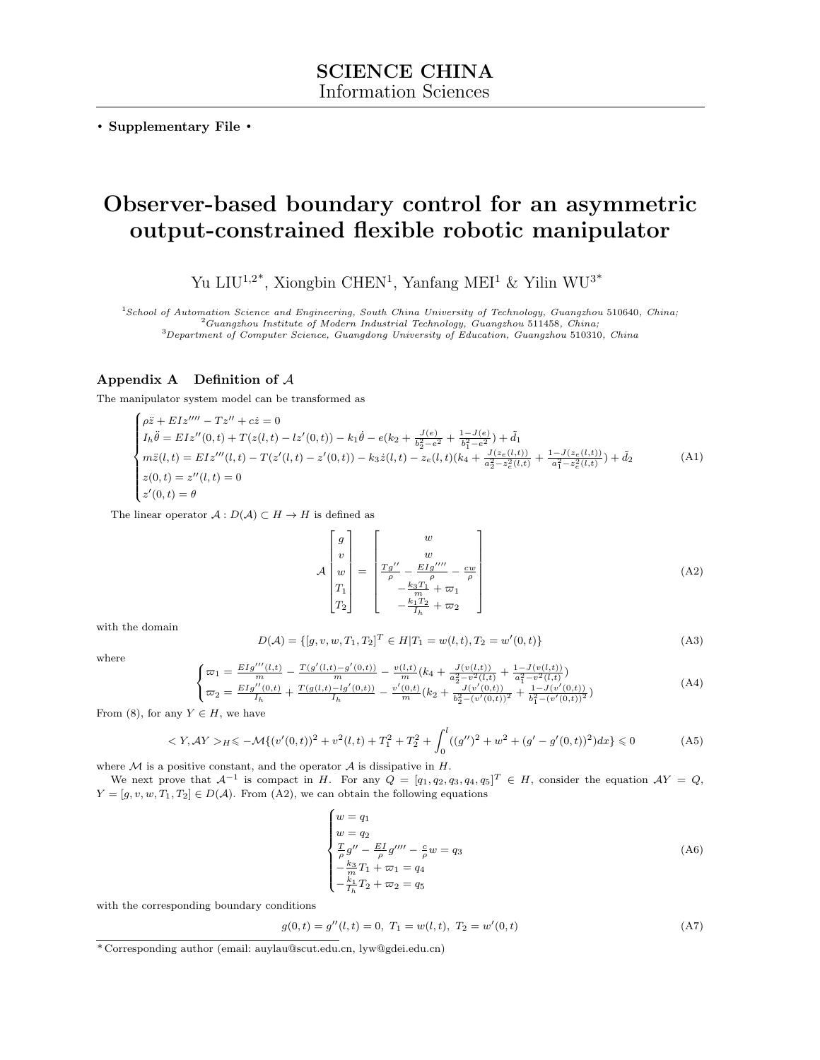. Supplementary File .

# Observer-based boundary control for an asymmetric output-constrained flexible robotic manipulator

Yu LIU<sup>1,2\*</sup>, Xiongbin CHEN<sup>1</sup>, Yanfang MEI<sup>1</sup> & Yilin WU<sup>3\*</sup>

<sup>1</sup>School of Automation Science and Engineering, South China University of Technology, Guangzhou 510640, China;  $^{2}Guangzhou Institute$  of Modern Industrial Technology, Guangzhou 511458, China;

<sup>3</sup>Department of Computer Science, Guangdong University of Education, Guangzhou 510310, China

## Appendix A Definition of A

The manipulator system model can be transformed as

$$
\begin{cases}\n\rho \ddot{z} + EIz''' - Tz'' + cz = 0 \\
I_h \ddot{\theta} = EIz''(0, t) + T(z(l, t) - lz'(0, t)) - k_1 \dot{\theta} - e(k_2 + \frac{J(e)}{b_2^2 - e^2} + \frac{1 - J(e)}{b_1^2 - e^2}) + \tilde{d}_1 \\
m\ddot{z}(l, t) = EIz'''(l, t) - T(z'(l, t) - z'(0, t)) - k_3 \dot{z}(l, t) - z_e(l, t)(k_4 + \frac{J(z_e(l, t))}{a_2^2 - z_e^2(l, t)} + \frac{1 - J(z_e(l, t))}{a_1^2 - z_e^2(l, t)}) + \tilde{d}_2 \\
z(0, t) = z''(l, t) = 0 \\
z'(0, t) = \theta\n\end{cases} \tag{A1}
$$

The linear operator  $A: D(A) \subset H \to H$  is defined as

<span id="page-0-0"></span>
$$
\mathcal{A}\begin{bmatrix} g \\ v \\ w \\ T_1 \\ T_2 \end{bmatrix} = \begin{bmatrix} w \\ w \\ \frac{rg''}{\rho} - \frac{EIg''''}{\rho} - \frac{cw}{\rho} \\ -\frac{k_3T_1}{m} + \varpi_1 \\ -\frac{k_1T_2}{n} + \varpi_2 \end{bmatrix}
$$
(A2)

with the domain

$$
D(\mathcal{A}) = \{ [g, v, w, T_1, T_2]^T \in H | T_1 = w(l, t), T_2 = w'(0, t) \}
$$
\n(A3)

where

$$
\begin{cases}\n\varpi_1 = \frac{EI g'''(l,t)}{m} - \frac{T(g'(l,t) - g'(0,t))}{m} - \frac{v(l,t)}{m}(k_4 + \frac{J(v(l,t))}{a_2^2 - v^2(l,t)} + \frac{1 - J(v(l,t))}{a_1^2 - v^2(l,t)}) \\
\varpi_2 = \frac{EI g''(0,t)}{I_h} + \frac{T(g(l,t) - lg'(0,t))}{I_h} - \frac{v'(0,t)}{m}(k_2 + \frac{J(v'(0,t))}{b_2^2 - (v'(0,t))^2} + \frac{1 - J(v'(0,t))}{b_1^2 - (v'(0,t))^2})\n\end{cases} (A4)
$$

From (8), for any  $Y \in H$ , we have

$$
\langle Y, AY \rangle_H \le -\mathcal{M}\{(v'(0,t))^2 + v^2(l,t) + T_1^2 + T_2^2 + \int_0^l ((g'')^2 + w^2 + (g' - g'(0,t))^2)dx\} \le 0
$$
 (A5)

where  $M$  is a positive constant, and the operator  $A$  is dissipative in  $H$ .

We next prove that  $\mathcal{A}^{-1}$  is compact in H. For any  $Q = [q_1, q_2, q_3, q_4, q_5]^T \in H$ , consider the equation  $\mathcal{A}Y = Q$ ,  $Y = [g, v, w, T_1, T_2] \in D(\mathcal{A})$ . From [\(A2\)](#page-0-0), we can obtain the following equations

<span id="page-0-1"></span>
$$
\begin{cases}\nw = q_1 \\
w = q_2 \\
\frac{T}{\rho}g'' - \frac{EI}{\rho}g'''' - \frac{c}{\rho}w = q_3 \\
-\frac{k_3}{m}T_1 + \varpi_1 = q_4 \\
-\frac{k_1}{l_h}T_2 + \varpi_2 = q_5\n\end{cases} \tag{A6}
$$

with the corresponding boundary conditions

<span id="page-0-2"></span>
$$
g(0,t) = g''(l,t) = 0, T_1 = w(l,t), T_2 = w'(0,t)
$$
\n(A7)

<sup>\*</sup> Corresponding author (email: auylau@scut.edu.cn, lyw@gdei.edu.cn)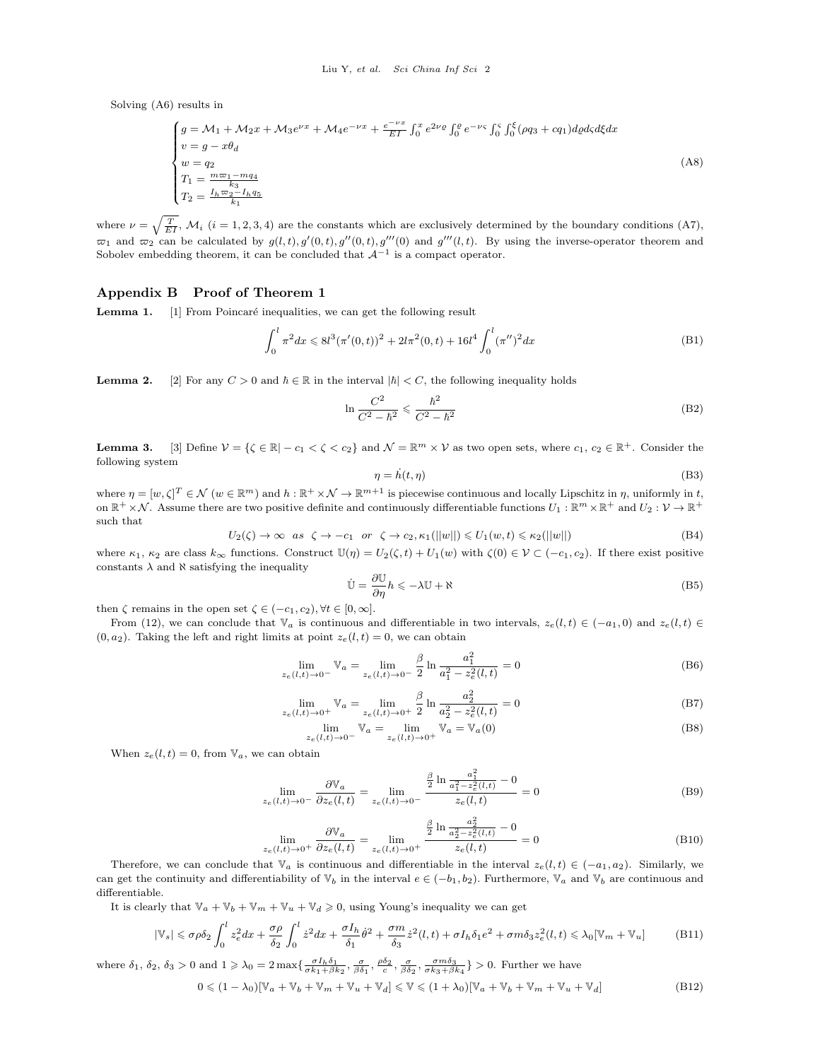Solving [\(A6\)](#page-0-1) results in

$$
\begin{cases}\ng = \mathcal{M}_1 + \mathcal{M}_2 x + \mathcal{M}_3 e^{\nu x} + \mathcal{M}_4 e^{-\nu x} + \frac{e^{-\nu x}}{EI} \int_0^x e^{2\nu \rho} \int_0^{\rho} e^{-\nu \varsigma} \int_0^{\varsigma} \int_0^{\xi} (\rho q_3 + c q_1) d\rho d\varsigma d\xi dx \\
v = g - x \theta_d \\
w = q_2 \\
T_1 = \frac{m \varpi_1 - m q_4}{k_3} \\
T_2 = \frac{I_h \varpi_2 - I_h q_5}{k_1}\n\end{cases} \tag{A8}
$$

where  $\nu = \sqrt{\frac{T}{EI}}$ ,  $\mathcal{M}_i$  (i = 1, 2, 3, 4) are the constants which are exclusively determined by the boundary conditions [\(A7\)](#page-0-2),  $\varpi_1$  and  $\varpi_2$  can be calculated by  $g(l, t), g'(0, t), g''(0, t), g'''(0)$  and  $g'''(l, t)$ . By using the inverse-operator theorem and Sobolev embedding theorem, it can be concluded that  $A^{-1}$  is a compact operator.

#### Appendix B Proof of Theorem 1

**Lemma 1.** [\[1\]](#page-3-0) From Poincaré inequalities, we can get the following result

$$
\int_0^l \pi^2 dx \leq 8l^3 (\pi'(0, t))^2 + 2l\pi^2 (0, t) + 16l^4 \int_0^l (\pi'')^2 dx \tag{B1}
$$

**Lemma 2.** [\[2\]](#page-3-1) For any  $C > 0$  and  $\hbar \in \mathbb{R}$  in the interval  $|\hbar| < C$ , the following inequality holds

$$
\ln \frac{C^2}{C^2 - \hbar^2} \leq \frac{\hbar^2}{C^2 - \hbar^2}
$$
\n(B2)

**Lemma 3.** [\[3\]](#page-3-2) Define  $V = \{ \zeta \in \mathbb{R} \mid -c_1 < \zeta < c_2 \}$  and  $\mathcal{N} = \mathbb{R}^m \times \mathcal{V}$  as two open sets, where  $c_1, c_2 \in \mathbb{R}^+$ . Consider the following system

$$
\eta = h(t, \eta) \tag{B3}
$$

where  $\eta = [w, \zeta]^T \in \mathcal{N}$   $(w \in \mathbb{R}^m)$  and  $h : \mathbb{R}^+ \times \mathcal{N} \to \mathbb{R}^{m+1}$  is piecewise continuous and locally Lipschitz in  $\eta$ , uniformly in t, on  $\mathbb{R}^+ \times \mathcal{N}$ . Assume there are two positive definite and continuously differentiable functions  $U_1 : \mathbb{R}^m \times \mathbb{R}^+$  and  $U_2 : \mathcal{V} \to \mathbb{R}^+$ such that

$$
U_2(\zeta) \to \infty \quad as \quad \zeta \to -c_1 \quad or \quad \zeta \to c_2, \kappa_1(||w||) \le U_1(w,t) \le \kappa_2(||w||) \tag{B4}
$$

where  $\kappa_1$ ,  $\kappa_2$  are class  $k_{\infty}$  functions. Construct  $\mathbb{U}(\eta) = U_2(\zeta, t) + U_1(w)$  with  $\zeta(0) \in \mathcal{V} \subset (-c_1, c_2)$ . If there exist positive constants  $\lambda$  and  $\aleph$  satisfying the inequality

$$
\dot{\mathbb{U}} = \frac{\partial \mathbb{U}}{\partial \eta} h \le -\lambda \mathbb{U} + \aleph \tag{B5}
$$

then  $\zeta$  remains in the open set  $\zeta \in (-c_1, c_2), \forall t \in [0, \infty]$ .

From (12), we can conclude that  $\mathbb{V}_a$  is continuous and differentiable in two intervals,  $z_e(l,t) \in (-a_1,0)$  and  $z_e(l,t) \in$  $(0, a_2)$ . Taking the left and right limits at point  $z_e(l, t) = 0$ , we can obtain

$$
\lim_{z_e(l,t)\to 0^{-}} \mathbb{V}_a = \lim_{z_e(l,t)\to 0^{-}} \frac{\beta}{2} \ln \frac{a_1^2}{a_1^2 - z_e^2(l,t)} = 0
$$
\n(B6)

$$
\lim_{z_e(l,t)\to 0^+} \mathbb{V}_a = \lim_{z_e(l,t)\to 0^+} \frac{\beta}{2} \ln \frac{a_2^2}{a_2^2 - z_e^2(l,t)} = 0
$$
\n(B7)

$$
\lim_{z_{\in}(l,t)\to 0^{-}} \mathbb{V}_a = \lim_{z_{\in}(l,t)\to 0^{+}} \mathbb{V}_a = \mathbb{V}_a(0)
$$
\n(B8)

When  $z_e(l, t) = 0$ , from  $\mathbb{V}_a$ , we can obtain

$$
\lim_{z_e(l,t)\to 0^-} \frac{\partial \mathbb{V}_a}{\partial z_e(l,t)} = \lim_{z_e(l,t)\to 0^-} \frac{\frac{\beta}{2} \ln \frac{a_1^2}{a_1^2 - z_e^2(l,t)} - 0}{z_e(l,t)} = 0
$$
\n(B9)

$$
\lim_{z_e(l,t)\to 0^+} \frac{\partial \mathbb{V}_a}{\partial z_e(l,t)} = \lim_{z_e(l,t)\to 0^+} \frac{\frac{\beta}{2} \ln \frac{a_2^2}{a_2^2 - z_e^2(l,t)} - 0}{z_e(l,t)} = 0
$$
\n(B10)

Therefore, we can conclude that  $\mathbb{V}_a$  is continuous and differentiable in the interval  $z_e(l, t) \in (-a_1, a_2)$ . Similarly, we can get the continuity and differentiability of  $\mathbb{V}_b$  in the interval  $e \in (-b_1, b_2)$ . Furthermore,  $\mathbb{V}_a$  and  $\mathbb{V}_b$  are continuous and differentiable.

It is clearly that  $\mathbb{V}_a + \mathbb{V}_b + \mathbb{V}_m + \mathbb{V}_u + \mathbb{V}_d \geq 0$ , using Young's inequality we can get

<span id="page-1-1"></span>
$$
|\mathbb{V}_s| \leq \sigma \rho \delta_2 \int_0^l z_e^2 dx + \frac{\sigma \rho}{\delta_2} \int_0^l \dot{z}^2 dx + \frac{\sigma I_h}{\delta_1} \dot{\theta}^2 + \frac{\sigma m}{\delta_3} \dot{z}^2(l, t) + \sigma I_h \delta_1 e^2 + \sigma m \delta_3 z_e^2(l, t) \leq \lambda_0 [\mathbb{V}_m + \mathbb{V}_u]
$$
(B11)

where  $\delta_1, \delta_2, \delta_3 > 0$  and  $1 \geq \lambda_0 = 2 \max\left\{ \frac{\sigma I_h \delta_1}{\sigma k_1 + \beta k_2}, \frac{\sigma}{\beta \delta_1}, \frac{\rho \delta_2}{c}, \frac{\sigma}{\beta \delta_2}, \frac{\sigma}{\sigma k_3 + \beta k_4} \right\} > 0$ . Further we have

<span id="page-1-0"></span>
$$
0 \leq (1 - \lambda_0)[\mathbb{V}_a + \mathbb{V}_b + \mathbb{V}_m + \mathbb{V}_u + \mathbb{V}_d] \leq \mathbb{V} \leq (1 + \lambda_0)[\mathbb{V}_a + \mathbb{V}_b + \mathbb{V}_m + \mathbb{V}_u + \mathbb{V}_d]
$$
(B12)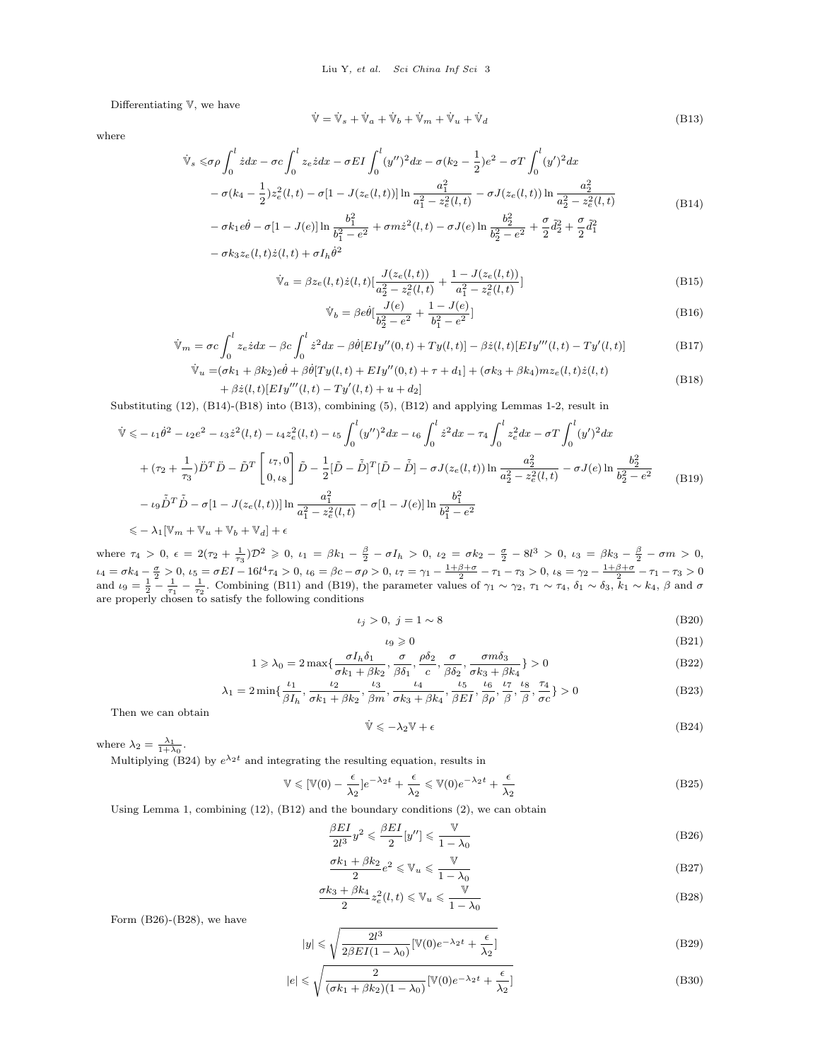Differentiating V, we have

<span id="page-2-0"></span>where

<span id="page-2-2"></span>
$$
\dot{\mathbb{V}} = \dot{\mathbb{V}}_s + \dot{\mathbb{V}}_a + \dot{\mathbb{V}}_b + \dot{\mathbb{V}}_m + \dot{\mathbb{V}}_u + \dot{\mathbb{V}}_d \tag{B13}
$$

$$
\dot{\mathbb{V}}_s \leq \sigma \rho \int_0^l \dot{z} dx - \sigma c \int_0^l z_e \dot{z} dx - \sigma EI \int_0^l (y'')^2 dx - \sigma (k_2 - \frac{1}{2}) e^2 - \sigma T \int_0^l (y')^2 dx \n- \sigma (k_4 - \frac{1}{2}) z_e^2 (l, t) - \sigma [1 - J(z_e(l, t))] \ln \frac{a_1^2}{a_1^2 - z_e^2(l, t)} - \sigma J(z_e(l, t)) \ln \frac{a_2^2}{a_2^2 - z_e^2(l, t)} \n- \sigma k_1 e \dot{\theta} - \sigma [1 - J(e)] \ln \frac{b_1^2}{a_1^2 - a_1^2} + \sigma m \dot{z}^2(l, t) - \sigma J(e) \ln \frac{b_2^2}{a_1^2 - a_1^2} + \frac{\sigma}{2} d_2^2 + \frac{\sigma}{2} d_1^2
$$
\n(B14)

$$
- \sigma k_1 e \dot{\theta} - \sigma [1 - J(e)] \ln \frac{v_1}{b_1^2 - e^2} + \sigma m \dot{z}^2 (l, t) - \sigma J(e) \ln \frac{v_2}{b_2^2 - e^2} + \frac{\sigma}{2} \frac{\partial^2}{\partial z^2} + \frac{\sigma}{2} \frac{\partial^2}{\partial t^2}
$$

$$
- \sigma k_3 z_e(l, t) \dot{z}(l, t) + \sigma I_h \dot{\theta}^2
$$

$$
\dot{\mathbb{V}}_a = \beta z_e(l, t) \dot{z}(l, t) \left[ \frac{J(z_e(l, t))}{a_2^2 - z_e^2(l, t)} + \frac{1 - J(z_e(l, t))}{a_1^2 - z_e^2(l, t)} \right]
$$
\n(B15)

$$
\dot{\mathbb{V}}_b = \beta e \dot{\theta} \left[ \frac{J(e)}{b_2^2 - e^2} + \frac{1 - J(e)}{b_1^2 - e^2} \right]
$$
\n(B16)

$$
\dot{\mathbb{V}}_m = \sigma c \int_0^l z_\varepsilon z dx - \beta c \int_0^l \dot{z}^2 dx - \beta \dot{\theta} [EIy''(0, t) + Ty(l, t)] - \beta \dot{z}(l, t) [EIy'''(l, t) - Ty'(l, t)] \tag{B17}
$$

$$
\dot{\mathbb{V}}_u = (\sigma k_1 + \beta k_2)e\dot{\theta} + \beta \dot{\theta} [T y(l, t) + E I y''(0, t) + \tau + d_1] + (\sigma k_3 + \beta k_4) m z_e(l, t) \dot{z}(l, t) + \beta \dot{z}(l, t)[E I y'''(l, t) - T y'(l, t) + u + d_2]
$$
\n(B18)

<span id="page-2-1"></span>Substituting (12), [\(B14\)](#page-2-0)-[\(B18\)](#page-2-1) into [\(B13\)](#page-2-2), combining (5), [\(B12\)](#page-1-0) and applying Lemmas 1-2, result in

<span id="page-2-3"></span>
$$
\begin{split}\n\ddot{\mathbb{V}} &\leq -\iota_{1}\dot{\theta}^{2} - \iota_{2}e^{2} - \iota_{3}\dot{z}^{2}(l,t) - \iota_{4}z_{e}^{2}(l,t) - \iota_{5}\int_{0}^{l}(y'')^{2}dx - \iota_{6}\int_{0}^{l}\dot{z}^{2}dx - \tau_{4}\int_{0}^{l}z_{e}^{2}dx - \sigma T\int_{0}^{l}(y')^{2}dx \\
&+ (\tau_{2} + \frac{1}{\tau_{3}})\ddot{D}^{T}\ddot{D} - \tilde{D}^{T}\begin{bmatrix} \iota\tau,0\\ 0,\iota_{8} \end{bmatrix}\tilde{D} - \frac{1}{2}[\tilde{D} - \tilde{D}]^{T}[\tilde{D} - \tilde{D}] - \sigma J(z_{e}(l,t))\ln\frac{a_{2}^{2}}{a_{2}^{2} - z_{e}^{2}(l,t)} - \sigma J(e)\ln\frac{b_{2}^{2}}{b_{2}^{2} - e^{2}} \\
&- \iota_{9}\tilde{D}^{T}\tilde{D} - \sigma[1 - J(z_{e}(l,t))] \ln\frac{a_{1}^{2}}{a_{1}^{2} - z_{e}^{2}(l,t)} - \sigma[1 - J(e)] \ln\frac{b_{1}^{2}}{b_{1}^{2} - e^{2}} \\
&\leq -\lambda_{1}[\mathbb{V}_{m} + \mathbb{V}_{u} + \mathbb{V}_{b} + \mathbb{V}_{d}] + \epsilon\n\end{split} \tag{B19}
$$

where  $\tau_4 > 0$ ,  $\epsilon = 2(\tau_2 + \frac{1}{\tau_3})\mathcal{D}^2 \geq 0$ ,  $\iota_1 = \beta k_1 - \frac{\beta}{2} - \sigma I_h > 0$ ,  $\iota_2 = \sigma k_2 - \frac{\sigma}{2} - 8l^3 > 0$ ,  $\iota_3 = \beta k_3 - \frac{\beta}{2} - \sigma m > 0$ ,  $\iota_4 = \sigma k_4 - \frac{\sigma}{2} > 0, \ i_5 = \sigma E I - 16 l^4 \tau_4 > 0, \ i_6 = \beta c - \sigma \rho > 0, \ i_7 = \gamma_1 - \frac{1+\beta+\sigma}{2} - \tau_1 - \tau_3 > 0, \ i_8 = \gamma_2 - \frac{1+\beta+\sigma}{2} - \tau_1 - \tau_3 > 0$ and  $\iota_9 = \frac{1}{2} - \frac{1}{\tau_1} - \frac{1}{\tau_2}$ . Combining [\(B11\)](#page-1-1) and [\(B19\)](#page-2-3), the parameter values of  $\gamma_1 \sim \gamma_2$ ,  $\tau_1 \sim \tau_4$ ,  $\delta_1 \sim \delta_3$ ,  $\overline{k}_1 \sim k_4$ ,  $\beta$  and  $\sigma$ are properly chosen to satisfy the following conditions

$$
\iota_j > 0, \ j = 1 \sim 8 \tag{B20}
$$

$$
\iota_9 \geqslant 0 \tag{B21}
$$

$$
1 \geqslant \lambda_0 = 2 \max\{\frac{\sigma I_h \delta_1}{\sigma k_1 + \beta k_2}, \frac{\sigma}{\beta \delta_1}, \frac{\rho \delta_2}{c}, \frac{\sigma}{\beta \delta_2}, \frac{\sigma m \delta_3}{\sigma k_3 + \beta k_4}\} > 0
$$
\n(B22)

$$
\lambda_1 = 2 \min\{\frac{\iota_1}{\beta I_h}, \frac{\iota_2}{\sigma k_1 + \beta k_2}, \frac{\iota_3}{\beta m}, \frac{\iota_4}{\sigma k_3 + \beta k_4}, \frac{\iota_5}{\beta E I}, \frac{\iota_6}{\beta \rho}, \frac{\iota_7}{\beta}, \frac{\iota_8}{\rho}, \frac{\tau_4}{\sigma c}\} > 0
$$
\n(B23)

Then we can obtain

<span id="page-2-4"></span>
$$
\dot{\mathbb{V}} \leqslant -\lambda_2 \mathbb{V} + \epsilon \tag{B24}
$$

where  $\lambda_2 = \frac{\lambda_1}{1 + \lambda_0}$ .

Multiplying [\(B24\)](#page-2-4) by  $e^{\lambda_2 t}$  and integrating the resulting equation, results in

$$
\mathbb{V} \leqslant [\mathbb{V}(0) - \frac{\epsilon}{\lambda_2}]e^{-\lambda_2 t} + \frac{\epsilon}{\lambda_2} \leqslant \mathbb{V}(0)e^{-\lambda_2 t} + \frac{\epsilon}{\lambda_2}
$$
\n(B25)

Using Lemma 1, combining (12), [\(B12\)](#page-1-0) and the boundary conditions (2), we can obtain

<span id="page-2-5"></span>
$$
\frac{\beta EI}{2l^3} y^2 \leqslant \frac{\beta EI}{2} [y''] \leqslant \frac{\mathbb{V}}{1 - \lambda_0}
$$
\n(B26)

$$
\frac{\sigma k_1 + \beta k_2}{2} e^2 \leqslant \mathbb{V}_u \leqslant \frac{\mathbb{V}}{1 - \lambda_0}
$$
 (B27)

<span id="page-2-6"></span>
$$
\frac{\sigma k_3 + \beta k_4}{2} z_e^2(l, t) \leq \mathbb{V}_u \leq \frac{\mathbb{V}}{1 - \lambda_0}
$$
 (B28)

Form [\(B26\)](#page-2-5)-[\(B28\)](#page-2-6), we have

$$
|y| \leq \sqrt{\frac{2l^3}{2\beta EI(1-\lambda_0)}} [\mathbb{V}(0)e^{-\lambda_2 t} + \frac{\epsilon}{\lambda_2}]
$$
\n(B29)

$$
|e| \le \sqrt{\frac{2}{(\sigma k_1 + \beta k_2)(1 - \lambda_0)}} [\mathbb{V}(0)e^{-\lambda_2 t} + \frac{\epsilon}{\lambda_2}]
$$
\n(B30)